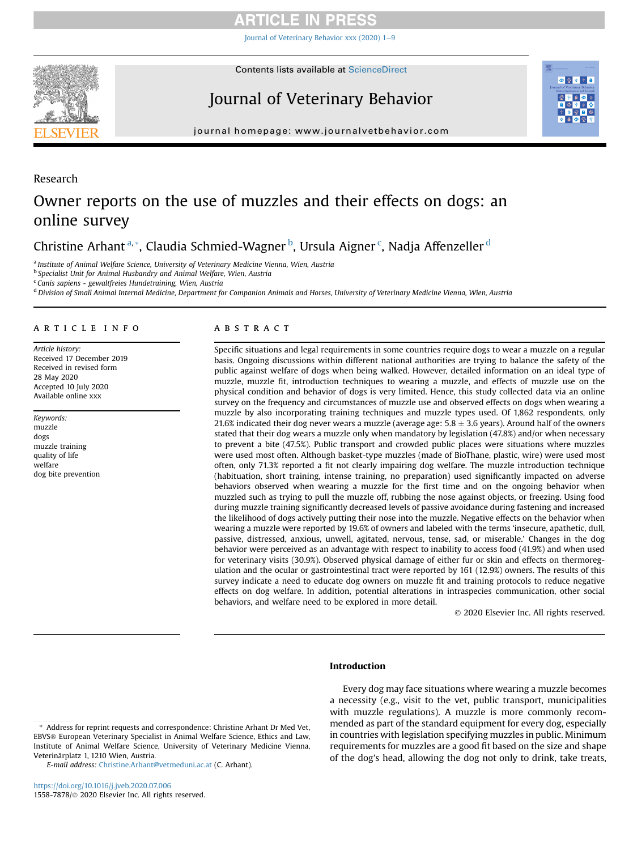## **RTICLE IN PRESS**

[Journal of Veterinary Behavior xxx \(2020\) 1](https://doi.org/10.1016/j.jveb.2020.07.006)-[9](https://doi.org/10.1016/j.jveb.2020.07.006)



Research

**Contents lists available at ScienceDirect** 

# Journal of Veterinary Behavior



journal homepage: [www.journalvetbehavior.com](http://www.journalvetbehavior.com)

# Owner reports on the use of muzzles and their effects on dogs: an online survey

Christine Arhant<sup>[a,](#page-0-0)</sup>[\\*](#page-0-1), Claudia Schmied-Wagner<sup>[b](#page-0-2)</sup>, Ursula Aigner<sup>[c](#page-0-3)</sup>, Na[d](#page-0-4)ja Affenzeller<sup>d</sup>

<span id="page-0-0"></span><sup>a</sup> Institute of Animal Welfare Science, University of Veterinary Medicine Vienna, Wien, Austria

<span id="page-0-2"></span><sup>b</sup> Specialist Unit for Animal Husbandry and Animal Welfare, Wien, Austria

<span id="page-0-3"></span><sup>c</sup> Canis sapiens - gewaltfreies Hundetraining, Wien, Austria

<span id="page-0-4"></span><sup>d</sup> Division of Small Animal Internal Medicine, Department for Companion Animals and Horses, University of Veterinary Medicine Vienna, Wien, Austria

### article info

Article history: Received 17 December 2019 Received in revised form 28 May 2020 Accepted 10 July 2020 Available online xxx

Keywords: muzzle dogs muzzle training quality of life welfare dog bite prevention

### A B S T R A C T

Specific situations and legal requirements in some countries require dogs to wear a muzzle on a regular basis. Ongoing discussions within different national authorities are trying to balance the safety of the public against welfare of dogs when being walked. However, detailed information on an ideal type of muzzle, muzzle fit, introduction techniques to wearing a muzzle, and effects of muzzle use on the physical condition and behavior of dogs is very limited. Hence, this study collected data via an online survey on the frequency and circumstances of muzzle use and observed effects on dogs when wearing a muzzle by also incorporating training techniques and muzzle types used. Of 1,862 respondents, only 21.6% indicated their dog never wears a muzzle (average age:  $5.8 \pm 3.6$  years). Around half of the owners stated that their dog wears a muzzle only when mandatory by legislation (47.8%) and/or when necessary to prevent a bite (47.5%). Public transport and crowded public places were situations where muzzles were used most often. Although basket-type muzzles (made of BioThane, plastic, wire) were used most often, only 71.3% reported a fit not clearly impairing dog welfare. The muzzle introduction technique (habituation, short training, intense training, no preparation) used significantly impacted on adverse behaviors observed when wearing a muzzle for the first time and on the ongoing behavior when muzzled such as trying to pull the muzzle off, rubbing the nose against objects, or freezing. Using food during muzzle training significantly decreased levels of passive avoidance during fastening and increased the likelihood of dogs actively putting their nose into the muzzle. Negative effects on the behavior when wearing a muzzle were reported by 19.6% of owners and labeled with the terms 'insecure, apathetic, dull, passive, distressed, anxious, unwell, agitated, nervous, tense, sad, or miserable.' Changes in the dog behavior were perceived as an advantage with respect to inability to access food (41.9%) and when used for veterinary visits (30.9%). Observed physical damage of either fur or skin and effects on thermoregulation and the ocular or gastrointestinal tract were reported by 161 (12.9%) owners. The results of this survey indicate a need to educate dog owners on muzzle fit and training protocols to reduce negative effects on dog welfare. In addition, potential alterations in intraspecies communication, other social behaviors, and welfare need to be explored in more detail.

2020 Elsevier Inc. All rights reserved.

### Introduction

E-mail address: [Christine.Arhant@vetmeduni.ac.at](mailto:Christine.Arhant@vetmeduni.ac.at) (C. Arhant).

Every dog may face situations where wearing a muzzle becomes a necessity (e.g., visit to the vet, public transport, municipalities with muzzle regulations). A muzzle is more commonly recommended as part of the standard equipment for every dog, especially in countries with legislation specifying muzzles in public. Minimum requirements for muzzles are a good fit based on the size and shape of the dog's head, allowing the dog not only to drink, take treats,

<span id="page-0-1"></span><sup>\*</sup> Address for reprint requests and correspondence: Christine Arhant Dr Med Vet, EBVS® European Veterinary Specialist in Animal Welfare Science, Ethics and Law, Institute of Animal Welfare Science, University of Veterinary Medicine Vienna, Veterinärplatz 1, 1210 Wien, Austria.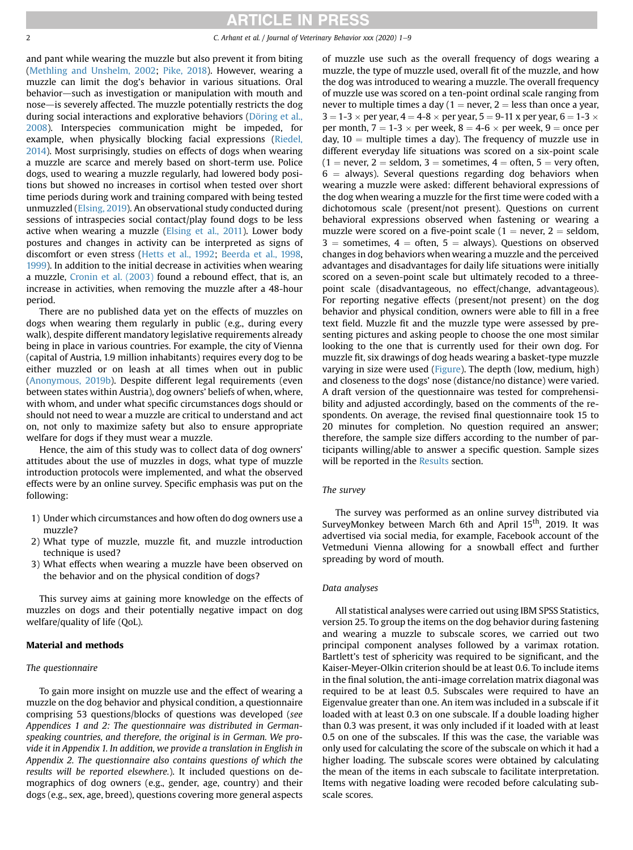and pant while wearing the muzzle but also prevent it from biting ([Methling and Unshelm, 2002;](#page-8-0) [Pike, 2018](#page-8-1)). However, wearing a muzzle can limit the dog's behavior in various situations. Oral behavior—such as investigation or manipulation with mouth and nose—is severely affected. The muzzle potentially restricts the dog during social interactions and explorative behaviors ([Döring et al.,](#page-8-2) [2008](#page-8-2)). Interspecies communication might be impeded, for example, when physically blocking facial expressions [\(Riedel,](#page-8-3) [2014](#page-8-3)). Most surprisingly, studies on effects of dogs when wearing a muzzle are scarce and merely based on short-term use. Police dogs, used to wearing a muzzle regularly, had lowered body positions but showed no increases in cortisol when tested over short time periods during work and training compared with being tested unmuzzled ([Elsing, 2019](#page-8-4)). An observational study conducted during sessions of intraspecies social contact/play found dogs to be less active when wearing a muzzle [\(Elsing et al., 2011\)](#page-8-5). Lower body postures and changes in activity can be interpreted as signs of discomfort or even stress [\(Hetts et al., 1992](#page-8-6); [Beerda et al., 1998,](#page-8-7) [1999](#page-8-8)). In addition to the initial decrease in activities when wearing a muzzle, [Cronin et al. \(2003\)](#page-8-9) found a rebound effect, that is, an increase in activities, when removing the muzzle after a 48-hour period.

There are no published data yet on the effects of muzzles on dogs when wearing them regularly in public (e.g., during every walk), despite different mandatory legislative requirements already being in place in various countries. For example, the city of Vienna (capital of Austria, 1.9 million inhabitants) requires every dog to be either muzzled or on leash at all times when out in public ([Anonymous, 2019b\)](#page-8-10). Despite different legal requirements (even between states within Austria), dog owners' beliefs of when, where, with whom, and under what specific circumstances dogs should or should not need to wear a muzzle are critical to understand and act on, not only to maximize safety but also to ensure appropriate welfare for dogs if they must wear a muzzle.

Hence, the aim of this study was to collect data of dog owners' attitudes about the use of muzzles in dogs, what type of muzzle introduction protocols were implemented, and what the observed effects were by an online survey. Specific emphasis was put on the following:

- 1) Under which circumstances and how often do dog owners use a muzzle?
- 2) What type of muzzle, muzzle fit, and muzzle introduction technique is used?
- 3) What effects when wearing a muzzle have been observed on the behavior and on the physical condition of dogs?

This survey aims at gaining more knowledge on the effects of muzzles on dogs and their potentially negative impact on dog welfare/quality of life (QoL).

### Material and methods

### The questionnaire

To gain more insight on muzzle use and the effect of wearing a muzzle on the dog behavior and physical condition, a questionnaire comprising 53 questions/blocks of questions was developed (see Appendices 1 and 2: The questionnaire was distributed in Germanspeaking countries, and therefore, the original is in German. We provide it in Appendix 1. In addition, we provide a translation in English in Appendix 2. The questionnaire also contains questions of which the results will be reported elsewhere.). It included questions on demographics of dog owners (e.g., gender, age, country) and their dogs (e.g., sex, age, breed), questions covering more general aspects

of muzzle use such as the overall frequency of dogs wearing a muzzle, the type of muzzle used, overall fit of the muzzle, and how the dog was introduced to wearing a muzzle. The overall frequency of muzzle use was scored on a ten-point ordinal scale ranging from never to multiple times a day  $(1 =$  never,  $2 =$  less than once a year,  $3 = 1-3 \times$  per year,  $4 = 4-8 \times$  per year,  $5 = 9-11 \times$  per year,  $6 = 1-3 \times$ per month,  $7 = 1-3 \times$  per week,  $8 = 4-6 \times$  per week,  $9 =$  once per day,  $10 =$  multiple times a day). The frequency of muzzle use in different everyday life situations was scored on a six-point scale  $(1 = never, 2 = seldom, 3 = sometimes, 4 = often, 5 = very often,$  $6 =$  always). Several questions regarding dog behaviors when wearing a muzzle were asked: different behavioral expressions of the dog when wearing a muzzle for the first time were coded with a dichotomous scale (present/not present). Questions on current behavioral expressions observed when fastening or wearing a muzzle were scored on a five-point scale  $(1 =$  never,  $2 =$  seldom,  $3 =$  sometimes,  $4 =$  often,  $5 =$  always). Questions on observed changes in dog behaviors when wearing a muzzle and the perceived advantages and disadvantages for daily life situations were initially scored on a seven-point scale but ultimately recoded to a threepoint scale (disadvantageous, no effect/change, advantageous). For reporting negative effects (present/not present) on the dog behavior and physical condition, owners were able to fill in a free text field. Muzzle fit and the muzzle type were assessed by presenting pictures and asking people to choose the one most similar looking to the one that is currently used for their own dog. For muzzle fit, six drawings of dog heads wearing a basket-type muzzle varying in size were used ([Figure](#page-2-0)). The depth (low, medium, high) and closeness to the dogs' nose (distance/no distance) were varied. A draft version of the questionnaire was tested for comprehensibility and adjusted accordingly, based on the comments of the respondents. On average, the revised final questionnaire took 15 to 20 minutes for completion. No question required an answer; therefore, the sample size differs according to the number of participants willing/able to answer a specific question. Sample sizes will be reported in the [Results](#page-2-1) section.

### The survey

The survey was performed as an online survey distributed via SurveyMonkey between March 6th and April 15<sup>th</sup>, 2019. It was advertised via social media, for example, Facebook account of the Vetmeduni Vienna allowing for a snowball effect and further spreading by word of mouth.

### Data analyses

All statistical analyses were carried out using IBM SPSS Statistics, version 25. To group the items on the dog behavior during fastening and wearing a muzzle to subscale scores, we carried out two principal component analyses followed by a varimax rotation. Bartlett's test of sphericity was required to be significant, and the Kaiser-Meyer-Olkin criterion should be at least 0.6. To include items in the final solution, the anti-image correlation matrix diagonal was required to be at least 0.5. Subscales were required to have an Eigenvalue greater than one. An item was included in a subscale if it loaded with at least 0.3 on one subscale. If a double loading higher than 0.3 was present, it was only included if it loaded with at least 0.5 on one of the subscales. If this was the case, the variable was only used for calculating the score of the subscale on which it had a higher loading. The subscale scores were obtained by calculating the mean of the items in each subscale to facilitate interpretation. Items with negative loading were recoded before calculating subscale scores.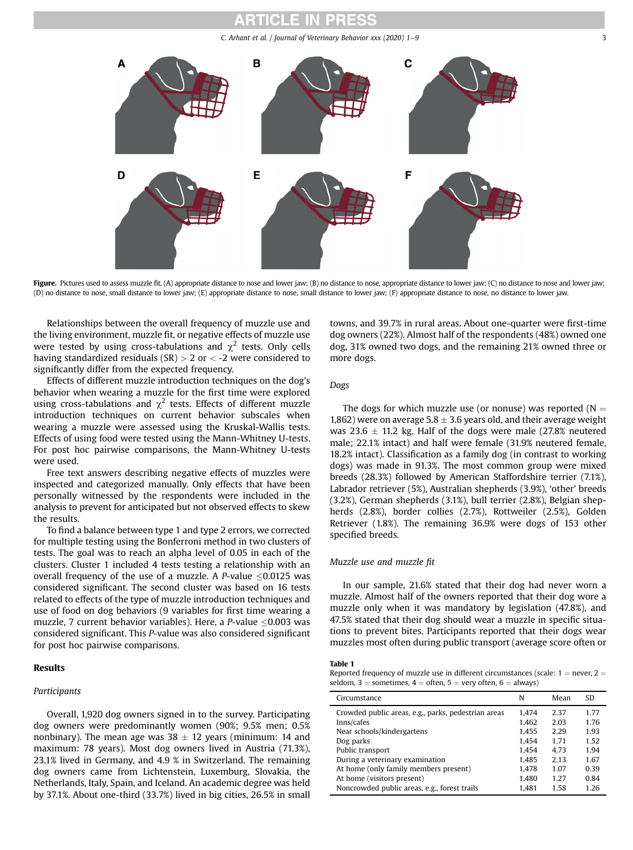#### CI E IN PRES

C. Arhant et al. / Journal of Veterinary Behavior  $xxx$  (2020)  $1-9$  3

<span id="page-2-0"></span>

Figure. Pictures used to assess muzzle fit. (A) appropriate distance to nose and lower jaw; (B) no distance to nose, appropriate distance to lower jaw; (C) no distance to nose and lower jaw; (D) no distance to nose, small distance to lower jaw; (E) appropriate distance to nose, small distance to lower jaw; (F) appropriate distance to nose, no distance to lower jaw.

Relationships between the overall frequency of muzzle use and the living environment, muzzle fit, or negative effects of muzzle use were tested by using cross-tabulations and  $\chi^2$  tests. Only cells having standardized residuals (SR) > 2 or < -2 were considered to significantly differ from the expected frequency.

Effects of different muzzle introduction techniques on the dog's behavior when wearing a muzzle for the first time were explored using cross-tabulations and  $\chi^2$  tests. Effects of different muzzle introduction techniques on current behavior subscales when wearing a muzzle were assessed using the Kruskal-Wallis tests. Effects of using food were tested using the Mann-Whitney U-tests. For post hoc pairwise comparisons, the Mann-Whitney U-tests were used.

Free text answers describing negative effects of muzzles were inspected and categorized manually. Only effects that have been personally witnessed by the respondents were included in the analysis to prevent for anticipated but not observed effects to skew the results.

To find a balance between type 1 and type 2 errors, we corrected for multiple testing using the Bonferroni method in two clusters of tests. The goal was to reach an alpha level of 0.05 in each of the clusters. Cluster 1 included 4 tests testing a relationship with an overall frequency of the use of a muzzle. A P-value  $\leq$ 0.0125 was considered significant. The second cluster was based on 16 tests related to effects of the type of muzzle introduction techniques and use of food on dog behaviors (9 variables for first time wearing a muzzle, 7 current behavior variables). Here, a P-value  $\leq$ 0.003 was considered significant. This P-value was also considered significant for post hoc pairwise comparisons.

### <span id="page-2-1"></span>Results

### Participants

Overall, 1,920 dog owners signed in to the survey. Participating dog owners were predominantly women (90%; 9.5% men; 0.5% nonbinary). The mean age was  $38 \pm 12$  years (minimum: 14 and maximum: 78 years). Most dog owners lived in Austria (71.3%), 23.1% lived in Germany, and 4.9 % in Switzerland. The remaining dog owners came from Lichtenstein, Luxemburg, Slovakia, the Netherlands, Italy, Spain, and Iceland. An academic degree was held by 37.1%. About one-third (33.7%) lived in big cities, 26.5% in small towns, and 39.7% in rural areas. About one-quarter were first-time dog owners (22%). Almost half of the respondents (48%) owned one dog, 31% owned two dogs, and the remaining 21% owned three or more dogs.

### Dogs

The dogs for which muzzle use (or nonuse) was reported ( $N =$ 1,862) were on average 5.8  $\pm$  3.6 years old, and their average weight was 23.6  $\pm$  11.2 kg. Half of the dogs were male (27.8% neutered male; 22.1% intact) and half were female (31.9% neutered female, 18.2% intact). Classification as a family dog (in contrast to working dogs) was made in 91.3%. The most common group were mixed breeds (28.3%) followed by American Staffordshire terrier (7.1%), Labrador retriever (5%), Australian shepherds (3.9%), 'other' breeds (3.2%), German shepherds (3.1%), bull terrier (2.8%), Belgian shepherds (2.8%), border collies (2.7%), Rottweiler (2.5%), Golden Retriever (1.8%). The remaining 36.9% were dogs of 153 other specified breeds.

### Muzzle use and muzzle fit

In our sample, 21.6% stated that their dog had never worn a muzzle. Almost half of the owners reported that their dog wore a muzzle only when it was mandatory by legislation (47.8%), and 47.5% stated that their dog should wear a muzzle in specific situations to prevent bites. Participants reported that their dogs wear muzzles most often during public transport (average score often or

### <span id="page-2-2"></span>Table 1

Reported frequency of muzzle use in different circumstances (scale:  $1 =$  never,  $2 =$ seldom,  $3 =$  sometimes,  $4 =$  often,  $5 =$  very often,  $6 =$  always)

| Circumstance                                        | N     | Mean | <b>SD</b> |
|-----------------------------------------------------|-------|------|-----------|
| Crowded public areas, e.g., parks, pedestrian areas | 1.474 | 2.37 | 1.77      |
| Inns/cafes                                          | 1.462 | 2.03 | 1.76      |
| Near schools/kindergartens                          | 1.455 | 2.29 | 1.93      |
| Dog parks                                           | 1.454 | 1.71 | 1.52      |
| Public transport                                    | 1.454 | 4.73 | 1.94      |
| During a veterinary examination                     | 1.485 | 2.13 | 1.67      |
| At home (only family members present)               | 1.478 | 1.07 | 0.39      |
| At home (visitors present)                          | 1.480 | 1.27 | 0.84      |
| Noncrowded public areas, e.g., forest trails        | 1.481 | 1.58 | 1.26      |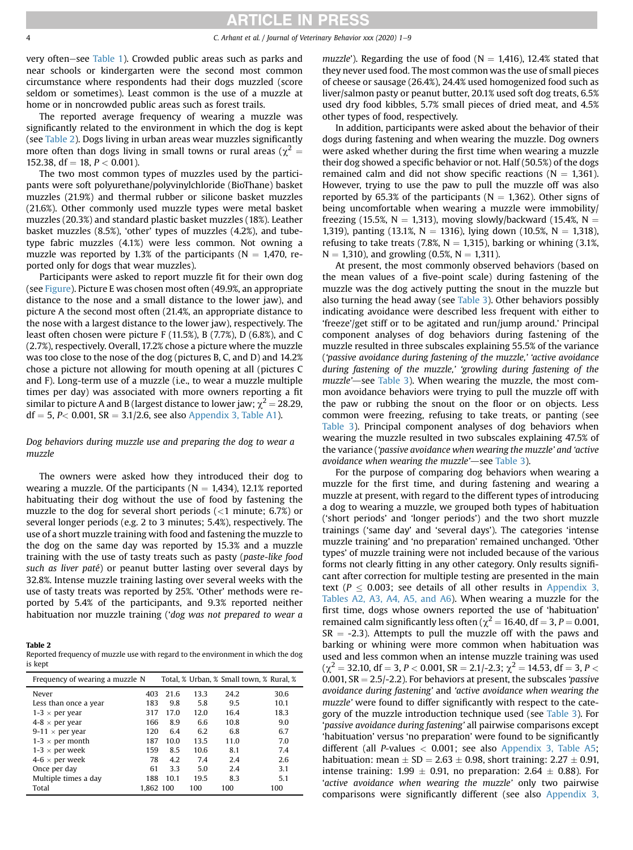4 C. Arhant et al. / Journal of Veterinary Behavior xxx (2020) 1–9

very often–see [Table 1](#page-2-2)). Crowded public areas such as parks and near schools or kindergarten were the second most common circumstance where respondents had their dogs muzzled (score seldom or sometimes). Least common is the use of a muzzle at home or in noncrowded public areas such as forest trails.

The reported average frequency of wearing a muzzle was significantly related to the environment in which the dog is kept (see [Table 2](#page-3-0)). Dogs living in urban areas wear muzzles significantly more often than dogs living in small towns or rural areas ( $\chi^2 =$ 152.38, df = 18,  $P < 0.001$ ).

The two most common types of muzzles used by the participants were soft polyurethane/polyvinylchloride (BioThane) basket muzzles (21.9%) and thermal rubber or silicone basket muzzles (21.6%). Other commonly used muzzle types were metal basket muzzles (20.3%) and standard plastic basket muzzles (18%). Leather basket muzzles (8.5%), 'other' types of muzzles (4.2%), and tubetype fabric muzzles (4.1%) were less common. Not owning a muzzle was reported by 1.3% of the participants ( $N = 1,470$ , reported only for dogs that wear muzzles).

Participants were asked to report muzzle fit for their own dog (see [Figure](#page-2-0)). Picture E was chosen most often (49.9%, an appropriate distance to the nose and a small distance to the lower jaw), and picture A the second most often (21.4%, an appropriate distance to the nose with a largest distance to the lower jaw), respectively. The least often chosen were picture F (11.5%), B (7.7%), D (6.8%), and C (2.7%), respectively. Overall, 17.2% chose a picture where the muzzle was too close to the nose of the dog (pictures B, C, and D) and 14.2% chose a picture not allowing for mouth opening at all (pictures C and F). Long-term use of a muzzle (i.e., to wear a muzzle multiple times per day) was associated with more owners reporting a fit similar to picture A and B (largest distance to lower jaw;  $\chi^2$  = 28.29,  $df = 5$ , P< 0.001, SR = 3.1/2.6, see also [Appendix 3, Table A1\)](#page-8-11).

### Dog behaviors during muzzle use and preparing the dog to wear a muzzle

The owners were asked how they introduced their dog to wearing a muzzle. Of the participants ( $N = 1,434$ ), 12.1% reported habituating their dog without the use of food by fastening the muzzle to the dog for several short periods  $(<1$  minute; 6.7%) or several longer periods (e.g. 2 to 3 minutes; 5.4%), respectively. The use of a short muzzle training with food and fastening the muzzle to the dog on the same day was reported by 15.3% and a muzzle training with the use of tasty treats such as pasty (paste-like food such as liver paté) or peanut butter lasting over several days by 32.8%. Intense muzzle training lasting over several weeks with the use of tasty treats was reported by 25%. 'Other' methods were reported by 5.4% of the participants, and 9.3% reported neither habituation nor muzzle training ('dog was not prepared to wear a

<span id="page-3-0"></span>Table 2

Reported frequency of muzzle use with regard to the environment in which the dog is kept

| Frequency of wearing a muzzle N |           |      |      |      | Total, % Urban, % Small town, % Rural, % |
|---------------------------------|-----------|------|------|------|------------------------------------------|
| Never                           | 403       | 21.6 | 13.3 | 24.2 | 30.6                                     |
| Less than once a year           | 183       | 9.8  | 5.8  | 9.5  | 10.1                                     |
| $1-3 \times$ per year           | 317       | 17.0 | 12.0 | 16.4 | 18.3                                     |
| $4-8 \times$ per year           | 166       | 8.9  | 6.6  | 10.8 | 9.0                                      |
| 9-11 $\times$ per year          | 120       | 6.4  | 6.2  | 6.8  | 6.7                                      |
| $1-3 \times$ per month          | 187       | 10.0 | 13.5 | 11.0 | 7.0                                      |
| $1-3 \times$ per week           | 159       | 8.5  | 10.6 | 8.1  | 7.4                                      |
| $4-6 \times$ per week           | 78        | 4.2  | 7.4  | 2.4  | 2.6                                      |
| Once per day                    | 61        | 3.3  | 5.0  | 2.4  | 3.1                                      |
| Multiple times a day            | 188       | 10.1 | 19.5 | 8.3  | 5.1                                      |
| Total                           | 1.862 100 |      | 100  | 100  | 100                                      |

muzzle'). Regarding the use of food ( $N = 1,416$ ), 12.4% stated that they never used food. The most common was the use of small pieces of cheese or sausage (26.4%), 24.4% used homogenized food such as liver/salmon pasty or peanut butter, 20.1% used soft dog treats, 6.5% used dry food kibbles, 5.7% small pieces of dried meat, and 4.5% other types of food, respectively.

In addition, participants were asked about the behavior of their dogs during fastening and when wearing the muzzle. Dog owners were asked whether during the first time when wearing a muzzle their dog showed a specific behavior or not. Half (50.5%) of the dogs remained calm and did not show specific reactions ( $N = 1,361$ ). However, trying to use the paw to pull the muzzle off was also reported by 65.3% of the participants ( $N = 1,362$ ). Other signs of being uncomfortable when wearing a muzzle were immobility/ freezing (15.5%,  $N = 1,313$ ), moving slowly/backward (15.4%,  $N =$ 1,319), panting (13.1%,  $N = 1316$ ), lying down (10.5%,  $N = 1,318$ ), refusing to take treats (7.8%,  $N = 1,315$ ), barking or whining (3.1%,  $N = 1,310$ ), and growling (0.5%,  $N = 1,311$ ).

At present, the most commonly observed behaviors (based on the mean values of a five-point scale) during fastening of the muzzle was the dog actively putting the snout in the muzzle but also turning the head away (see [Table 3\)](#page-4-0). Other behaviors possibly indicating avoidance were described less frequent with either to 'freeze'/get stiff or to be agitated and run/jump around.' Principal component analyses of dog behaviors during fastening of the muzzle resulted in three subscales explaining 55.5% of the variance ('passive avoidance during fastening of the muzzle,' 'active avoidance during fastening of the muzzle,' 'growling during fastening of the muzzle'—see [Table 3](#page-4-0)). When wearing the muzzle, the most common avoidance behaviors were trying to pull the muzzle off with the paw or rubbing the snout on the floor or on objects. Less common were freezing, refusing to take treats, or panting (see [Table 3](#page-4-0)). Principal component analyses of dog behaviors when wearing the muzzle resulted in two subscales explaining 47.5% of the variance ('passive avoidance when wearing the muzzle' and 'active avoidance when wearing the muzzle'—see [Table 3](#page-4-0)).

For the purpose of comparing dog behaviors when wearing a muzzle for the first time, and during fastening and wearing a muzzle at present, with regard to the different types of introducing a dog to wearing a muzzle, we grouped both types of habituation ('short periods' and 'longer periods') and the two short muzzle trainings ('same day' and 'several days'). The categories 'intense muzzle training' and 'no preparation' remained unchanged. 'Other types' of muzzle training were not included because of the various forms not clearly fitting in any other category. Only results significant after correction for multiple testing are presented in the main text ( $P \le 0.003$ ; see details of all other results in [Appendix 3,](#page-8-11) [Tables A2, A3, A4, A5, and A6\)](#page-8-11). When wearing a muzzle for the first time, dogs whose owners reported the use of 'habituation' remained calm significantly less often ( $\chi^2$  = 16.40, df = 3, P = 0.001,  $SR = -2.3$ ). Attempts to pull the muzzle off with the paws and barking or whining were more common when habituation was used and less common when an intense muzzle training was used  $(\chi^2 = 32.10, df = 3, P < 0.001, SR = 2.1/-2.3; \chi^2 = 14.53, df = 3, P <$ 0.001,  $SR = 2.5/-2.2$ ). For behaviors at present, the subscales 'passive avoidance during fastening' and 'active avoidance when wearing the muzzle' were found to differ significantly with respect to the category of the muzzle introduction technique used (see [Table 3](#page-4-0)). For 'passive avoidance during fastening' all pairwise comparisons except 'habituation' versus 'no preparation' were found to be significantly different (all P-values < 0.001; see also [Appendix 3, Table A5](#page-8-11); habituation: mean  $\pm$  SD = 2.63  $\pm$  0.98, short training: 2.27  $\pm$  0.91, intense training:  $1.99 \pm 0.91$ , no preparation:  $2.64 \pm 0.88$ ). For 'active avoidance when wearing the muzzle' only two pairwise comparisons were significantly different (see also [Appendix 3,](#page-8-11)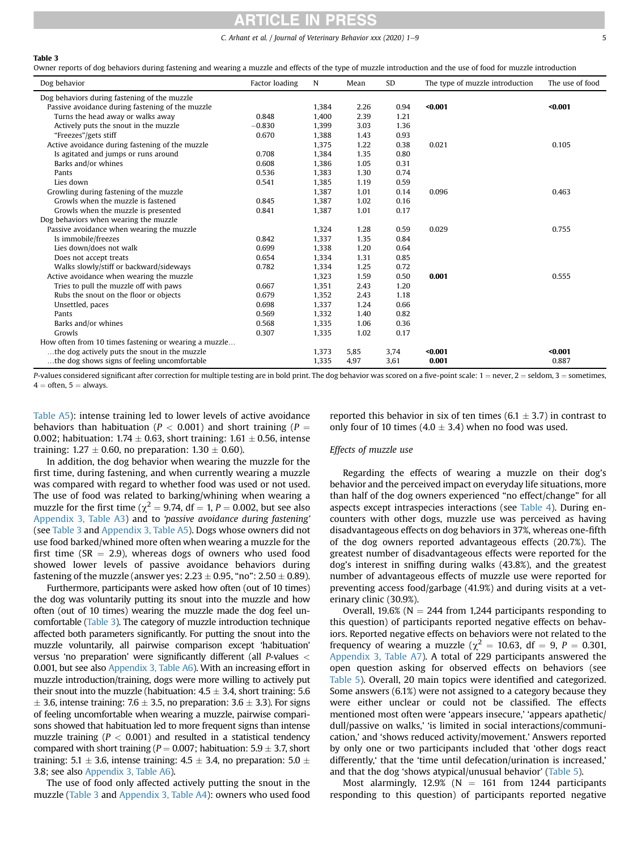C. Arhant et al. / Journal of Veterinary Behavior xxx  $(2020)$  1-9 5

#### <span id="page-4-0"></span>Table 3

Owner reports of dog behaviors during fastening and wearing a muzzle and effects of the type of muzzle introduction and the use of food for muzzle introduction

| Dog behavior                                          | Factor loading | N     | Mean | <b>SD</b> | The type of muzzle introduction | The use of food |
|-------------------------------------------------------|----------------|-------|------|-----------|---------------------------------|-----------------|
| Dog behaviors during fastening of the muzzle          |                |       |      |           |                                 |                 |
| Passive avoidance during fastening of the muzzle      |                | 1,384 | 2.26 | 0.94      | $0.001$                         | $0.001$         |
| Turns the head away or walks away                     | 0.848          | 1,400 | 2.39 | 1.21      |                                 |                 |
| Actively puts the snout in the muzzle                 | $-0.830$       | 1,399 | 3.03 | 1.36      |                                 |                 |
| "Freezes"/gets stiff                                  | 0.670          | 1,388 | 1.43 | 0.93      |                                 |                 |
| Active avoidance during fastening of the muzzle       |                | 1,375 | 1.22 | 0.38      | 0.021                           | 0.105           |
| Is agitated and jumps or runs around                  | 0.708          | 1,384 | 1.35 | 0.80      |                                 |                 |
| Barks and/or whines                                   | 0.608          | 1,386 | 1.05 | 0.31      |                                 |                 |
| Pants                                                 | 0.536          | 1,383 | 1.30 | 0.74      |                                 |                 |
| Lies down                                             | 0.541          | 1,385 | 1.19 | 0.59      |                                 |                 |
| Growling during fastening of the muzzle               |                | 1,387 | 1.01 | 0.14      | 0.096                           | 0.463           |
| Growls when the muzzle is fastened                    | 0.845          | 1,387 | 1.02 | 0.16      |                                 |                 |
| Growls when the muzzle is presented                   | 0.841          | 1,387 | 1.01 | 0.17      |                                 |                 |
| Dog behaviors when wearing the muzzle                 |                |       |      |           |                                 |                 |
| Passive avoidance when wearing the muzzle             |                | 1,324 | 1.28 | 0.59      | 0.029                           | 0.755           |
| Is immobile/freezes                                   | 0.842          | 1,337 | 1.35 | 0.84      |                                 |                 |
| Lies down/does not walk                               | 0.699          | 1,338 | 1.20 | 0.64      |                                 |                 |
| Does not accept treats                                | 0.654          | 1,334 | 1.31 | 0.85      |                                 |                 |
| Walks slowly/stiff or backward/sideways               | 0.782          | 1,334 | 1.25 | 0.72      |                                 |                 |
| Active avoidance when wearing the muzzle              |                | 1,323 | 1.59 | 0.50      | 0.001                           | 0.555           |
| Tries to pull the muzzle off with paws                | 0.667          | 1,351 | 2.43 | 1.20      |                                 |                 |
| Rubs the snout on the floor or objects                | 0.679          | 1,352 | 2.43 | 1.18      |                                 |                 |
| Unsettled, paces                                      | 0.698          | 1,337 | 1.24 | 0.66      |                                 |                 |
| Pants                                                 | 0.569          | 1,332 | 1.40 | 0.82      |                                 |                 |
| Barks and/or whines                                   | 0.568          | 1,335 | 1.06 | 0.36      |                                 |                 |
| Growls                                                | 0.307          | 1,335 | 1.02 | 0.17      |                                 |                 |
| How often from 10 times fastening or wearing a muzzle |                |       |      |           |                                 |                 |
| the dog actively puts the snout in the muzzle         |                | 1,373 | 5,85 | 3,74      | $0.001$                         | $0.001$         |
| the dog shows signs of feeling uncomfortable.         |                | 1,335 | 4,97 | 3,61      | 0.001                           | 0.887           |

P-values considered significant after correction for multiple testing are in bold print. The dog behavior was scored on a five-point scale:  $1 =$  never,  $2 =$  seldom,  $3 =$  sometimes,  $4 =$  often,  $5 =$  always.

[Table A5\)](#page-8-11): intense training led to lower levels of active avoidance behaviors than habituation ( $P < 0.001$ ) and short training ( $P =$ 0.002; habituation:  $1.74 \pm 0.63$ , short training:  $1.61 \pm 0.56$ , intense training:  $1.27 \pm 0.60$ , no preparation:  $1.30 \pm 0.60$ ).

In addition, the dog behavior when wearing the muzzle for the first time, during fastening, and when currently wearing a muzzle was compared with regard to whether food was used or not used. The use of food was related to barking/whining when wearing a muzzle for the first time ( $\chi^2$  = 9.74, df = 1, P = 0.002, but see also [Appendix 3, Table A3](#page-8-11)) and to 'passive avoidance during fastening' (see [Table 3](#page-4-0) and [Appendix 3, Table A5\)](#page-8-11). Dogs whose owners did not use food barked/whined more often when wearing a muzzle for the first time (SR  $=$  2.9), whereas dogs of owners who used food showed lower levels of passive avoidance behaviors during fastening of the muzzle (answer yes:  $2.23 \pm 0.95$ , "no":  $2.50 \pm 0.89$ ).

Furthermore, participants were asked how often (out of 10 times) the dog was voluntarily putting its snout into the muzzle and how often (out of 10 times) wearing the muzzle made the dog feel uncomfortable [\(Table 3](#page-4-0)). The category of muzzle introduction technique affected both parameters significantly. For putting the snout into the muzzle voluntarily, all pairwise comparison except 'habituation' versus 'no preparation' were significantly different (all P-values < 0.001, but see also [Appendix 3, Table A6\)](#page-8-11). With an increasing effort in muzzle introduction/training, dogs were more willing to actively put their snout into the muzzle (habituation:  $4.5 \pm 3.4$ , short training: 5.6  $\pm$  3.6, intense training: 7.6  $\pm$  3.5, no preparation: 3.6  $\pm$  3.3). For signs of feeling uncomfortable when wearing a muzzle, pairwise comparisons showed that habituation led to more frequent signs than intense muzzle training ( $P < 0.001$ ) and resulted in a statistical tendency compared with short training ( $P = 0.007$ ; habituation: 5.9  $\pm$  3.7, short training: 5.1  $\pm$  3.6, intense training: 4.5  $\pm$  3.4, no preparation: 5.0  $\pm$ 3.8; see also [Appendix 3, Table A6](#page-8-11)).

The use of food only affected actively putting the snout in the muzzle [\(Table 3](#page-4-0) and [Appendix 3, Table A4](#page-8-11)): owners who used food reported this behavior in six of ten times (6.1  $\pm$  3.7) in contrast to only four of 10 times  $(4.0 \pm 3.4)$  when no food was used.

### Effects of muzzle use

Regarding the effects of wearing a muzzle on their dog's behavior and the perceived impact on everyday life situations, more than half of the dog owners experienced "no effect/change" for all aspects except intraspecies interactions (see [Table 4\)](#page-5-0). During encounters with other dogs, muzzle use was perceived as having disadvantageous effects on dog behaviors in 37%, whereas one-fifth of the dog owners reported advantageous effects (20.7%). The greatest number of disadvantageous effects were reported for the dog's interest in sniffing during walks (43.8%), and the greatest number of advantageous effects of muzzle use were reported for preventing access food/garbage (41.9%) and during visits at a veterinary clinic (30.9%).

Overall, 19.6% ( $N = 244$  from 1,244 participants responding to this question) of participants reported negative effects on behaviors. Reported negative effects on behaviors were not related to the frequency of wearing a muzzle ( $\chi^2$  = 10.63, df = 9, P = 0.301, [Appendix 3, Table A7](#page-8-11)). A total of 229 participants answered the open question asking for observed effects on behaviors (see [Table 5\)](#page-5-1). Overall, 20 main topics were identified and categorized. Some answers (6.1%) were not assigned to a category because they were either unclear or could not be classified. The effects mentioned most often were 'appears insecure,' 'appears apathetic/ dull/passive on walks,' 'is limited in social interactions/communication,' and 'shows reduced activity/movement.' Answers reported by only one or two participants included that 'other dogs react differently,' that the 'time until defecation/urination is increased,' and that the dog 'shows atypical/unusual behavior' ([Table 5\)](#page-5-1).

Most alarmingly, 12.9% ( $N = 161$  from 1244 participants responding to this question) of participants reported negative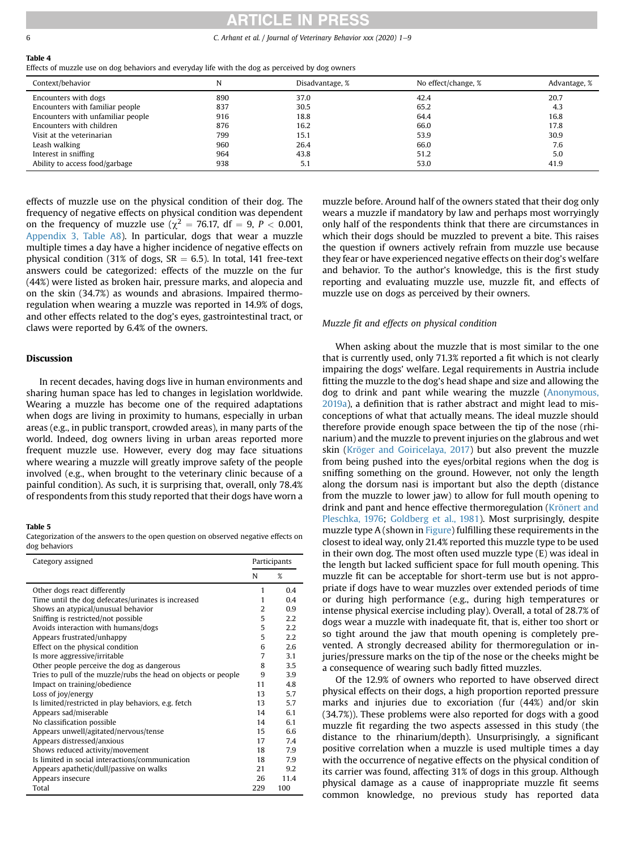### **ITICLE IN PRESS**

6 **C.** Arhant et al. / Journal of Veterinary Behavior xxx (2020) 1–9

#### <span id="page-5-0"></span>Table 4

Effects of muzzle use on dog behaviors and everyday life with the dog as perceived by dog owners

| Context/behavior                  |     | Disadvantage, % | No effect/change, % | Advantage, % |
|-----------------------------------|-----|-----------------|---------------------|--------------|
| Encounters with dogs              | 890 | 37.0            | 42.4                | 20.7         |
| Encounters with familiar people   | 837 | 30.5            | 65.2                | 4.3          |
| Encounters with unfamiliar people | 916 | 18.8            | 64.4                | 16.8         |
| Encounters with children          | 876 | 16.2            | 66.0                | 17.8         |
| Visit at the veterinarian         | 799 | 15.1            | 53.9                | 30.9         |
| Leash walking                     | 960 | 26.4            | 66.0                | 7.6          |
| Interest in sniffing              | 964 | 43.8            | 51.2                | 5.0          |
| Ability to access food/garbage    | 938 | 5.1             | 53.0                | 41.9         |

effects of muzzle use on the physical condition of their dog. The frequency of negative effects on physical condition was dependent on the frequency of muzzle use ( $\chi^2$  = 76.17, df = 9, P < 0.001, [Appendix 3, Table A8](#page-8-11)). In particular, dogs that wear a muzzle multiple times a day have a higher incidence of negative effects on physical condition (31% of dogs,  $SR = 6.5$ ). In total, 141 free-text answers could be categorized: effects of the muzzle on the fur (44%) were listed as broken hair, pressure marks, and alopecia and on the skin (34.7%) as wounds and abrasions. Impaired thermoregulation when wearing a muzzle was reported in 14.9% of dogs, and other effects related to the dog's eyes, gastrointestinal tract, or claws were reported by 6.4% of the owners.

### **Discussion**

In recent decades, having dogs live in human environments and sharing human space has led to changes in legislation worldwide. Wearing a muzzle has become one of the required adaptations when dogs are living in proximity to humans, especially in urban areas (e.g., in public transport, crowded areas), in many parts of the world. Indeed, dog owners living in urban areas reported more frequent muzzle use. However, every dog may face situations where wearing a muzzle will greatly improve safety of the people involved (e.g., when brought to the veterinary clinic because of a painful condition). As such, it is surprising that, overall, only 78.4% of respondents from this study reported that their dogs have worn a

### <span id="page-5-1"></span>Table 5

Categorization of the answers to the open question on observed negative effects on dog behaviors

| Category assigned                                              |                | Participants |  |
|----------------------------------------------------------------|----------------|--------------|--|
|                                                                | N              | %            |  |
| Other dogs react differently                                   | 1              | 0.4          |  |
| Time until the dog defecates/urinates is increased             | 1              | 0.4          |  |
| Shows an atypical/unusual behavior                             | $\overline{2}$ | 0.9          |  |
| Sniffing is restricted/not possible                            | 5              | 2.2          |  |
| Avoids interaction with humans/dogs                            | 5              | 2.2          |  |
| Appears frustrated/unhappy                                     | 5              | 2.2          |  |
| Effect on the physical condition                               | 6              | 2.6          |  |
| Is more aggressive/irritable                                   | 7              | 3.1          |  |
| Other people perceive the dog as dangerous                     | 8              | 3.5          |  |
| Tries to pull of the muzzle/rubs the head on objects or people | 9              | 3.9          |  |
| Impact on training/obedience                                   | 11             | 4.8          |  |
| Loss of joy/energy                                             | 13             | 5.7          |  |
| Is limited/restricted in play behaviors, e.g. fetch            | 13             | 5.7          |  |
| Appears sad/miserable                                          | 14             | 6.1          |  |
| No classification possible                                     | 14             | 6.1          |  |
| Appears unwell/agitated/nervous/tense                          | 15             | 6.6          |  |
| Appears distressed/anxious                                     | 17             | 7.4          |  |
| Shows reduced activity/movement                                | 18             | 7.9          |  |
| Is limited in social interactions/communication                | 18             | 7.9          |  |
| Appears apathetic/dull/passive on walks                        | 21             | 9.2          |  |
| Appears insecure                                               | 26             | 11.4         |  |
| Total                                                          | 229            | 100          |  |

muzzle before. Around half of the owners stated that their dog only wears a muzzle if mandatory by law and perhaps most worryingly only half of the respondents think that there are circumstances in which their dogs should be muzzled to prevent a bite. This raises the question if owners actively refrain from muzzle use because they fear or have experienced negative effects on their dog's welfare and behavior. To the author's knowledge, this is the first study reporting and evaluating muzzle use, muzzle fit, and effects of muzzle use on dogs as perceived by their owners.

### Muzzle fit and effects on physical condition

When asking about the muzzle that is most similar to the one that is currently used, only 71.3% reported a fit which is not clearly impairing the dogs' welfare. Legal requirements in Austria include fitting the muzzle to the dog's head shape and size and allowing the dog to drink and pant while wearing the muzzle [\(Anonymous,](#page-8-12) [2019a\)](#page-8-12), a definition that is rather abstract and might lead to misconceptions of what that actually means. The ideal muzzle should therefore provide enough space between the tip of the nose (rhinarium) and the muzzle to prevent injuries on the glabrous and wet skin ([Kröger and Goiricelaya, 2017\)](#page-8-13) but also prevent the muzzle from being pushed into the eyes/orbital regions when the dog is sniffing something on the ground. However, not only the length along the dorsum nasi is important but also the depth (distance from the muzzle to lower jaw) to allow for full mouth opening to drink and pant and hence effective thermoregulation ([Krönert and](#page-8-14) [Pleschka, 1976](#page-8-14); [Goldberg et al., 1981\)](#page-8-15). Most surprisingly, despite muzzle type A (shown in [Figure\)](#page-2-0) fulfilling these requirements in the closest to ideal way, only 21.4% reported this muzzle type to be used in their own dog. The most often used muzzle type (E) was ideal in the length but lacked sufficient space for full mouth opening. This muzzle fit can be acceptable for short-term use but is not appropriate if dogs have to wear muzzles over extended periods of time or during high performance (e.g., during high temperatures or intense physical exercise including play). Overall, a total of 28.7% of dogs wear a muzzle with inadequate fit, that is, either too short or so tight around the jaw that mouth opening is completely prevented. A strongly decreased ability for thermoregulation or injuries/pressure marks on the tip of the nose or the cheeks might be a consequence of wearing such badly fitted muzzles.

Of the 12.9% of owners who reported to have observed direct physical effects on their dogs, a high proportion reported pressure marks and injuries due to excoriation (fur (44%) and/or skin (34.7%)). These problems were also reported for dogs with a good muzzle fit regarding the two aspects assessed in this study (the distance to the rhinarium/depth). Unsurprisingly, a significant positive correlation when a muzzle is used multiple times a day with the occurrence of negative effects on the physical condition of its carrier was found, affecting 31% of dogs in this group. Although physical damage as a cause of inappropriate muzzle fit seems common knowledge, no previous study has reported data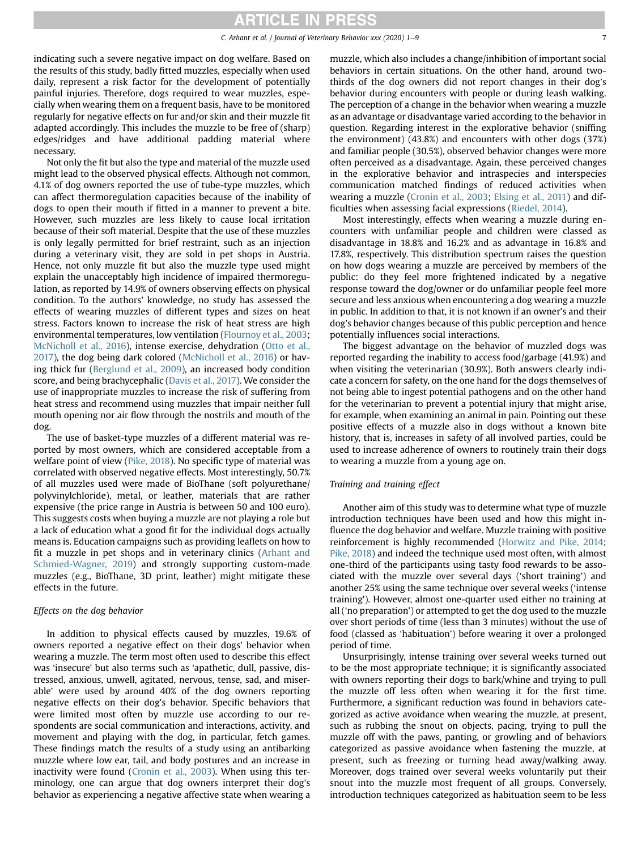### **RTICLE IN PRESS**

indicating such a severe negative impact on dog welfare. Based on the results of this study, badly fitted muzzles, especially when used daily, represent a risk factor for the development of potentially painful injuries. Therefore, dogs required to wear muzzles, especially when wearing them on a frequent basis, have to be monitored regularly for negative effects on fur and/or skin and their muzzle fit adapted accordingly. This includes the muzzle to be free of (sharp) edges/ridges and have additional padding material where necessary.

Not only the fit but also the type and material of the muzzle used might lead to the observed physical effects. Although not common, 4.1% of dog owners reported the use of tube-type muzzles, which can affect thermoregulation capacities because of the inability of dogs to open their mouth if fitted in a manner to prevent a bite. However, such muzzles are less likely to cause local irritation because of their soft material. Despite that the use of these muzzles is only legally permitted for brief restraint, such as an injection during a veterinary visit, they are sold in pet shops in Austria. Hence, not only muzzle fit but also the muzzle type used might explain the unacceptably high incidence of impaired thermoregulation, as reported by 14.9% of owners observing effects on physical condition. To the authors' knowledge, no study has assessed the effects of wearing muzzles of different types and sizes on heat stress. Factors known to increase the risk of heat stress are high environmental temperatures, low ventilation ([Flournoy et al., 2003;](#page-8-16) [McNicholl et al., 2016\)](#page-8-17), intense exercise, dehydration ([Otto et al.,](#page-8-18) [2017\)](#page-8-18), the dog being dark colored [\(McNicholl et al., 2016\)](#page-8-17) or having thick fur ([Berglund et al., 2009](#page-8-19)), an increased body condition score, and being brachycephalic ([Davis et al., 2017](#page-8-20)). We consider the use of inappropriate muzzles to increase the risk of suffering from heat stress and recommend using muzzles that impair neither full mouth opening nor air flow through the nostrils and mouth of the dog.

The use of basket-type muzzles of a different material was reported by most owners, which are considered acceptable from a welfare point of view ([Pike, 2018\)](#page-8-1). No specific type of material was correlated with observed negative effects. Most interestingly, 50.7% of all muzzles used were made of BioThane (soft polyurethane/ polyvinylchloride), metal, or leather, materials that are rather expensive (the price range in Austria is between 50 and 100 euro). This suggests costs when buying a muzzle are not playing a role but a lack of education what a good fit for the individual dogs actually means is. Education campaigns such as providing leaflets on how to fit a muzzle in pet shops and in veterinary clinics [\(Arhant and](#page-8-21) [Schmied-Wagner, 2019\)](#page-8-21) and strongly supporting custom-made muzzles (e.g., BioThane, 3D print, leather) might mitigate these effects in the future.

### Effects on the dog behavior

In addition to physical effects caused by muzzles, 19.6% of owners reported a negative effect on their dogs' behavior when wearing a muzzle. The term most often used to describe this effect was 'insecure' but also terms such as 'apathetic, dull, passive, distressed, anxious, unwell, agitated, nervous, tense, sad, and miserable' were used by around 40% of the dog owners reporting negative effects on their dog's behavior. Specific behaviors that were limited most often by muzzle use according to our respondents are social communication and interactions, activity, and movement and playing with the dog, in particular, fetch games. These findings match the results of a study using an antibarking muzzle where low ear, tail, and body postures and an increase in inactivity were found [\(Cronin et al., 2003\)](#page-8-9). When using this terminology, one can argue that dog owners interpret their dog's behavior as experiencing a negative affective state when wearing a muzzle, which also includes a change/inhibition of important social behaviors in certain situations. On the other hand, around twothirds of the dog owners did not report changes in their dog's behavior during encounters with people or during leash walking. The perception of a change in the behavior when wearing a muzzle as an advantage or disadvantage varied according to the behavior in question. Regarding interest in the explorative behavior (sniffing the environment) (43.8%) and encounters with other dogs (37%) and familiar people (30.5%), observed behavior changes were more often perceived as a disadvantage. Again, these perceived changes in the explorative behavior and intraspecies and interspecies communication matched findings of reduced activities when wearing a muzzle ([Cronin et al., 2003](#page-8-9); [Elsing et al., 2011](#page-8-5)) and difficulties when assessing facial expressions ([Riedel, 2014\)](#page-8-3).

Most interestingly, effects when wearing a muzzle during encounters with unfamiliar people and children were classed as disadvantage in 18.8% and 16.2% and as advantage in 16.8% and 17.8%, respectively. This distribution spectrum raises the question on how dogs wearing a muzzle are perceived by members of the public: do they feel more frightened indicated by a negative response toward the dog/owner or do unfamiliar people feel more secure and less anxious when encountering a dog wearing a muzzle in public. In addition to that, it is not known if an owner's and their dog's behavior changes because of this public perception and hence potentially influences social interactions.

The biggest advantage on the behavior of muzzled dogs was reported regarding the inability to access food/garbage (41.9%) and when visiting the veterinarian (30.9%). Both answers clearly indicate a concern for safety, on the one hand for the dogs themselves of not being able to ingest potential pathogens and on the other hand for the veterinarian to prevent a potential injury that might arise, for example, when examining an animal in pain. Pointing out these positive effects of a muzzle also in dogs without a known bite history, that is, increases in safety of all involved parties, could be used to increase adherence of owners to routinely train their dogs to wearing a muzzle from a young age on.

### Training and training effect

Another aim of this study was to determine what type of muzzle introduction techniques have been used and how this might influence the dog behavior and welfare. Muzzle training with positive reinforcement is highly recommended ([Horwitz and Pike, 2014](#page-8-22); [Pike, 2018](#page-8-1)) and indeed the technique used most often, with almost one-third of the participants using tasty food rewards to be associated with the muzzle over several days ('short training') and another 25% using the same technique over several weeks ('intense training'). However, almost one-quarter used either no training at all ('no preparation') or attempted to get the dog used to the muzzle over short periods of time (less than 3 minutes) without the use of food (classed as 'habituation') before wearing it over a prolonged period of time.

Unsurprisingly, intense training over several weeks turned out to be the most appropriate technique; it is significantly associated with owners reporting their dogs to bark/whine and trying to pull the muzzle off less often when wearing it for the first time. Furthermore, a significant reduction was found in behaviors categorized as active avoidance when wearing the muzzle, at present, such as rubbing the snout on objects, pacing, trying to pull the muzzle off with the paws, panting, or growling and of behaviors categorized as passive avoidance when fastening the muzzle, at present, such as freezing or turning head away/walking away. Moreover, dogs trained over several weeks voluntarily put their snout into the muzzle most frequent of all groups. Conversely, introduction techniques categorized as habituation seem to be less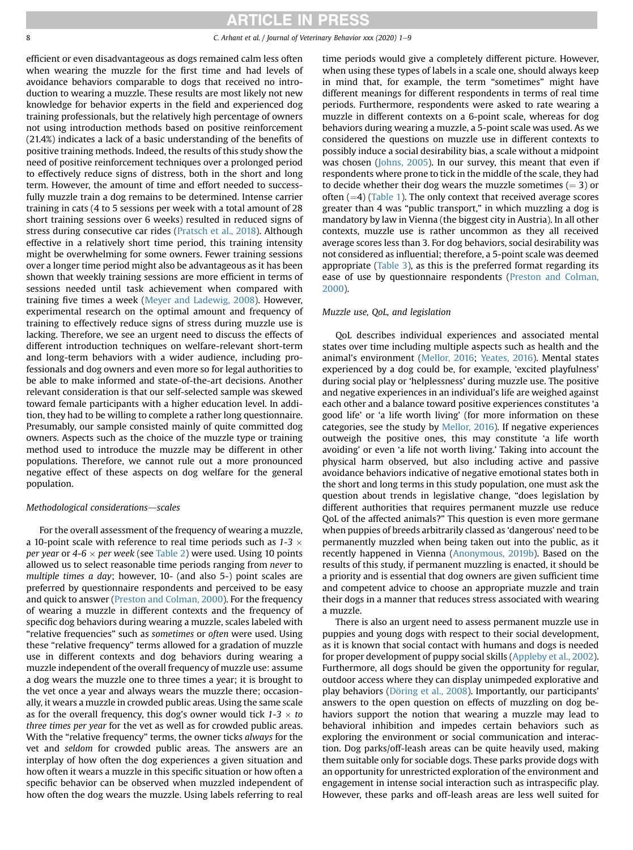8 C. Arhant et al. / Journal of Veterinary Behavior xxx (2020) 1–9

efficient or even disadvantageous as dogs remained calm less often when wearing the muzzle for the first time and had levels of avoidance behaviors comparable to dogs that received no introduction to wearing a muzzle. These results are most likely not new knowledge for behavior experts in the field and experienced dog training professionals, but the relatively high percentage of owners not using introduction methods based on positive reinforcement (21.4%) indicates a lack of a basic understanding of the benefits of positive training methods. Indeed, the results of this study show the need of positive reinforcement techniques over a prolonged period to effectively reduce signs of distress, both in the short and long term. However, the amount of time and effort needed to successfully muzzle train a dog remains to be determined. Intense carrier training in cats (4 to 5 sessions per week with a total amount of 28 short training sessions over 6 weeks) resulted in reduced signs of stress during consecutive car rides [\(Pratsch et al., 2018](#page-8-23)). Although effective in a relatively short time period, this training intensity might be overwhelming for some owners. Fewer training sessions over a longer time period might also be advantageous as it has been shown that weekly training sessions are more efficient in terms of sessions needed until task achievement when compared with training five times a week ([Meyer and Ladewig, 2008\)](#page-8-24). However, experimental research on the optimal amount and frequency of training to effectively reduce signs of stress during muzzle use is lacking. Therefore, we see an urgent need to discuss the effects of different introduction techniques on welfare-relevant short-term and long-term behaviors with a wider audience, including professionals and dog owners and even more so for legal authorities to be able to make informed and state-of-the-art decisions. Another relevant consideration is that our self-selected sample was skewed toward female participants with a higher education level. In addition, they had to be willing to complete a rather long questionnaire. Presumably, our sample consisted mainly of quite committed dog owners. Aspects such as the choice of the muzzle type or training method used to introduce the muzzle may be different in other populations. Therefore, we cannot rule out a more pronounced negative effect of these aspects on dog welfare for the general population.

### Methodological considerations-scales

For the overall assessment of the frequency of wearing a muzzle, a 10-point scale with reference to real time periods such as 1-3  $\times$ per year or 4-6  $\times$  per week (see [Table 2\)](#page-3-0) were used. Using 10 points allowed us to select reasonable time periods ranging from never to multiple times a day; however, 10- (and also 5-) point scales are preferred by questionnaire respondents and perceived to be easy and quick to answer [\(Preston and Colman, 2000\)](#page-8-25). For the frequency of wearing a muzzle in different contexts and the frequency of specific dog behaviors during wearing a muzzle, scales labeled with "relative frequencies" such as sometimes or often were used. Using these "relative frequency" terms allowed for a gradation of muzzle use in different contexts and dog behaviors during wearing a muzzle independent of the overall frequency of muzzle use: assume a dog wears the muzzle one to three times a year; it is brought to the vet once a year and always wears the muzzle there; occasionally, it wears a muzzle in crowded public areas. Using the same scale as for the overall frequency, this dog's owner would tick  $1-3 \times to$ three times per year for the vet as well as for crowded public areas. With the "relative frequency" terms, the owner ticks always for the vet and seldom for crowded public areas. The answers are an interplay of how often the dog experiences a given situation and how often it wears a muzzle in this specific situation or how often a specific behavior can be observed when muzzled independent of how often the dog wears the muzzle. Using labels referring to real time periods would give a completely different picture. However, when using these types of labels in a scale one, should always keep in mind that, for example, the term "sometimes" might have different meanings for different respondents in terms of real time periods. Furthermore, respondents were asked to rate wearing a muzzle in different contexts on a 6-point scale, whereas for dog behaviors during wearing a muzzle, a 5-point scale was used. As we considered the questions on muzzle use in different contexts to possibly induce a social desirability bias, a scale without a midpoint was chosen ([Johns, 2005\)](#page-8-26). In our survey, this meant that even if respondents where prone to tick in the middle of the scale, they had to decide whether their dog wears the muzzle sometimes  $(= 3)$  or often  $(=4)$  [\(Table 1](#page-2-2)). The only context that received average scores greater than 4 was "public transport," in which muzzling a dog is mandatory by law in Vienna (the biggest city in Austria). In all other contexts, muzzle use is rather uncommon as they all received average scores less than 3. For dog behaviors, social desirability was not considered as influential; therefore, a 5-point scale was deemed appropriate ([Table 3\)](#page-4-0), as this is the preferred format regarding its ease of use by questionnaire respondents [\(Preston and Colman,](#page-8-25) [2000](#page-8-25)).

### Muzzle use, QoL, and legislation

QoL describes individual experiences and associated mental states over time including multiple aspects such as health and the animal's environment ([Mellor, 2016;](#page-8-27) [Yeates, 2016](#page-8-28)). Mental states experienced by a dog could be, for example, 'excited playfulness' during social play or 'helplessness' during muzzle use. The positive and negative experiences in an individual's life are weighed against each other and a balance toward positive experiences constitutes 'a good life' or 'a life worth living' (for more information on these categories, see the study by [Mellor, 2016\)](#page-8-27). If negative experiences outweigh the positive ones, this may constitute 'a life worth avoiding' or even 'a life not worth living.' Taking into account the physical harm observed, but also including active and passive avoidance behaviors indicative of negative emotional states both in the short and long terms in this study population, one must ask the question about trends in legislative change, "does legislation by different authorities that requires permanent muzzle use reduce QoL of the affected animals?" This question is even more germane when puppies of breeds arbitrarily classed as 'dangerous' need to be permanently muzzled when being taken out into the public, as it recently happened in Vienna [\(Anonymous, 2019b\)](#page-8-10). Based on the results of this study, if permanent muzzling is enacted, it should be a priority and is essential that dog owners are given sufficient time and competent advice to choose an appropriate muzzle and train their dogs in a manner that reduces stress associated with wearing a muzzle.

There is also an urgent need to assess permanent muzzle use in puppies and young dogs with respect to their social development, as it is known that social contact with humans and dogs is needed for proper development of puppy social skills ([Appleby et al., 2002](#page-8-29)). Furthermore, all dogs should be given the opportunity for regular, outdoor access where they can display unimpeded explorative and play behaviors ([Döring et al., 2008\)](#page-8-2). Importantly, our participants' answers to the open question on effects of muzzling on dog behaviors support the notion that wearing a muzzle may lead to behavioral inhibition and impedes certain behaviors such as exploring the environment or social communication and interaction. Dog parks/off-leash areas can be quite heavily used, making them suitable only for sociable dogs. These parks provide dogs with an opportunity for unrestricted exploration of the environment and engagement in intense social interaction such as intraspecific play. However, these parks and off-leash areas are less well suited for